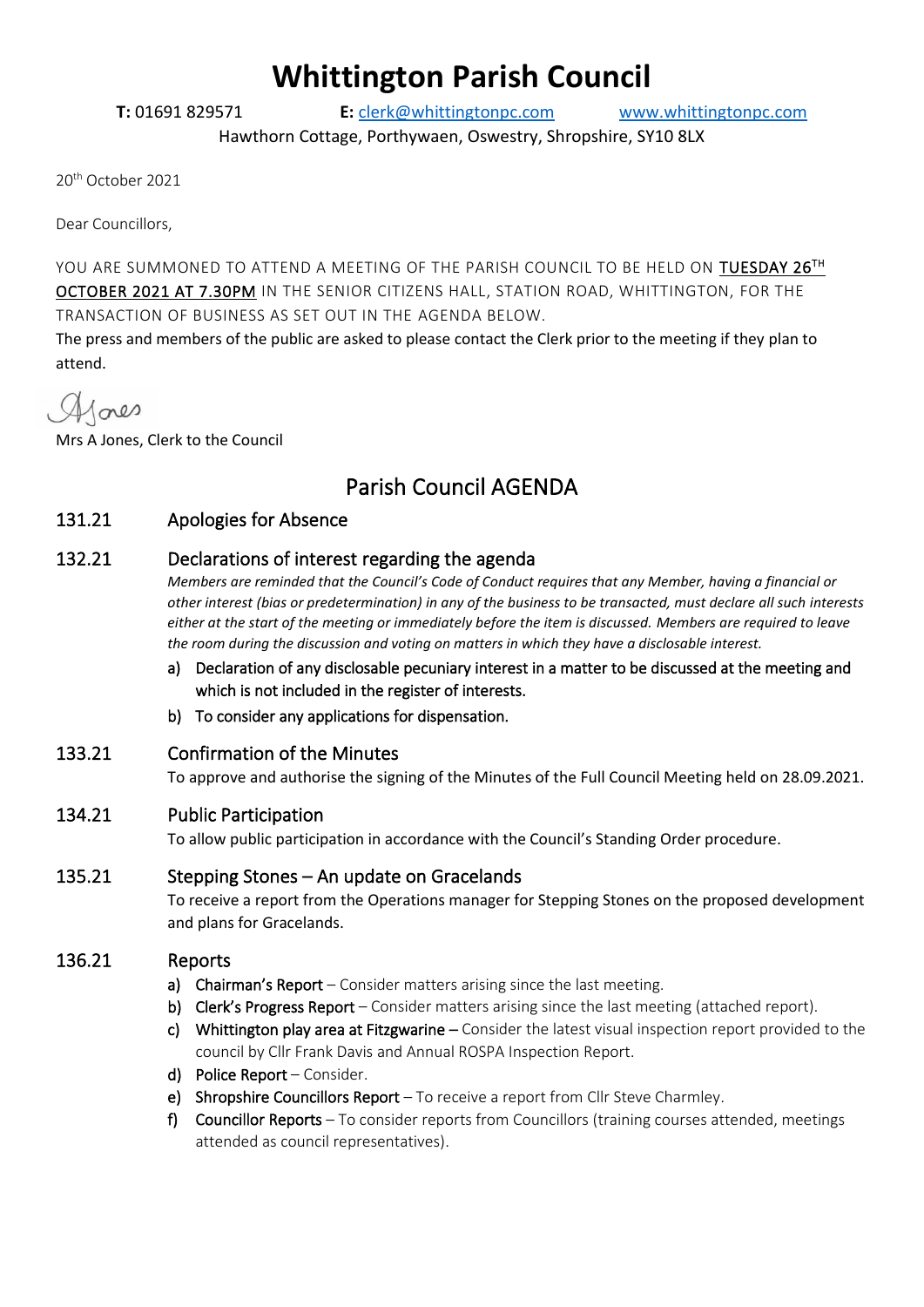# **Whittington Parish Council**

**T:** 01691 829571 **E:** [clerk@whittingtonpc.com](mailto:clerk@whittingtonpc.com) [www.whittingtonpc.com](http://www.whittingtonpc.com/)

Hawthorn Cottage, Porthywaen, Oswestry, Shropshire, SY10 8LX

20th October 2021

Dear Councillors,

YOU ARE SUMMONED TO ATTEND A MEETING OF THE PARISH COUNCIL TO BE HELD ON  $\overline{\text{TUESDAY 26}}^{\text{TH}}$ OCTOBER 2021 AT 7.30PM IN THE SENIOR CITIZENS HALL, STATION ROAD, WHITTINGTON, FOR THE TRANSACTION OF BUSINESS AS SET OUT IN THE AGENDA BELOW.

The press and members of the public are asked to please contact the Clerk prior to the meeting if they plan to attend.

Alores

Mrs A Jones, Clerk to the Council

# Parish Council AGENDA

#### 131.21 Apologies for Absence

#### 132.21 Declarations of interest regarding the agenda

*Members are reminded that the Council's Code of Conduct requires that any Member, having a financial or other interest (bias or predetermination) in any of the business to be transacted, must declare all such interests either at the start of the meeting or immediately before the item is discussed. Members are required to leave the room during the discussion and voting on matters in which they have a disclosable interest.*

- a) Declaration of any disclosable pecuniary interest in a matter to be discussed at the meeting and which is not included in the register of interests.
- b) To consider any applications for dispensation.

#### 133.21 Confirmation of the Minutes

To approve and authorise the signing of the Minutes of the Full Council Meeting held on 28.09.2021.

#### 134.21 Public Participation

To allow public participation in accordance with the Council's Standing Order procedure.

#### 135.21 Stepping Stones – An update on Gracelands

To receive a report from the Operations manager for Stepping Stones on the proposed development and plans for Gracelands.

#### 136.21 Reports

- a) Chairman's Report Consider matters arising since the last meeting.
- b) Clerk's Progress Report Consider matters arising since the last meeting (attached report).
- c) Whittington play area at Fitzgwarine  $-$  Consider the latest visual inspection report provided to the council by Cllr Frank Davis and Annual ROSPA Inspection Report.
- d) Police Report Consider.
- e) Shropshire Councillors Report To receive a report from Cllr Steve Charmley.
- f) Councillor Reports To consider reports from Councillors (training courses attended, meetings attended as council representatives).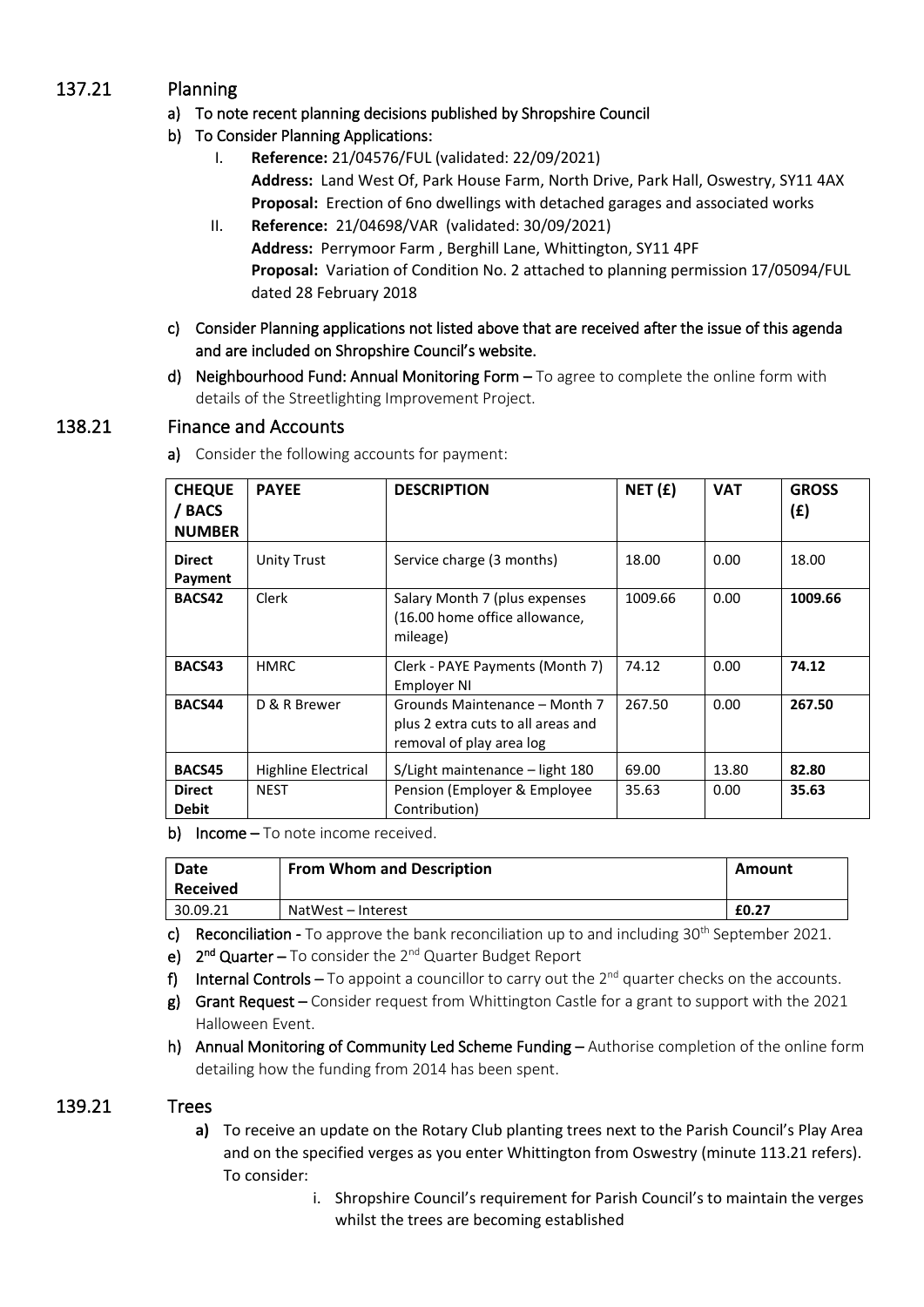# 137.21 Planning

#### a) To note recent planning decisions published by Shropshire Council

- b) To Consider Planning Applications:
	- I. **Reference:** 21/04576/FUL (validated: 22/09/2021) **Address:** Land West Of, Park House Farm, North Drive, Park Hall, Oswestry, SY11 4AX **Proposal:** Erection of 6no dwellings with detached garages and associated works
	- II. **Reference:** 21/04698/VAR (validated: 30/09/2021) **Address:** Perrymoor Farm , Berghill Lane, Whittington, SY11 4PF **Proposal:** Variation of Condition No. 2 attached to planning permission 17/05094/FUL dated 28 February 2018
- c) Consider Planning applications not listed above that are received after the issue of this agenda and are included on Shropshire Council's website.
- d) Neighbourhood Fund: Annual Monitoring Form  $-$  To agree to complete the online form with details of the Streetlighting Improvement Project.

### 138.21 Finance and Accounts

| <b>CHEQUE</b><br>/ BACS<br><b>NUMBER</b> | <b>PAYEE</b>        | <b>DESCRIPTION</b>                                                                              | NET(f)  | <b>VAT</b> | <b>GROSS</b><br>(E) |
|------------------------------------------|---------------------|-------------------------------------------------------------------------------------------------|---------|------------|---------------------|
| <b>Direct</b><br>Payment                 | <b>Unity Trust</b>  | Service charge (3 months)                                                                       | 18.00   | 0.00       | 18.00               |
| BACS42                                   | Clerk               | Salary Month 7 (plus expenses<br>(16.00 home office allowance,<br>mileage)                      | 1009.66 | 0.00       | 1009.66             |
| BACS43                                   | <b>HMRC</b>         | Clerk - PAYE Payments (Month 7)<br>Employer NI                                                  | 74.12   | 0.00       | 74.12               |
| BACS44                                   | D & R Brewer        | Grounds Maintenance - Month 7<br>plus 2 extra cuts to all areas and<br>removal of play area log | 267.50  | 0.00       | 267.50              |
| <b>BACS45</b>                            | Highline Electrical | S/Light maintenance – light 180                                                                 | 69.00   | 13.80      | 82.80               |
| <b>Direct</b><br><b>Debit</b>            | <b>NEST</b>         | Pension (Employer & Employee<br>Contribution)                                                   | 35.63   | 0.00       | 35.63               |

a) Consider the following accounts for payment:

b) Income - To note income received.

| Date<br><b>Received</b> | <b>From Whom and Description</b> | Amount |
|-------------------------|----------------------------------|--------|
| 30.09.21                | NatWest – Interest               | £0.27  |

c) Reconciliation - To approve the bank reconciliation up to and including 30<sup>th</sup> September 2021.

- e) 2<sup>nd</sup> Quarter To consider the 2<sup>nd</sup> Quarter Budget Report
- f) Internal Controls To appoint a councillor to carry out the  $2^{nd}$  quarter checks on the accounts.
- g) Grant Request Consider request from Whittington Castle for a grant to support with the 2021 Halloween Event.
- h) Annual Monitoring of Community Led Scheme Funding Authorise completion of the online form detailing how the funding from 2014 has been spent.

#### 139.21 Trees

- **a)** To receive an update on the Rotary Club planting trees next to the Parish Council's Play Area and on the specified verges as you enter Whittington from Oswestry (minute 113.21 refers). To consider:
	- i. Shropshire Council's requirement for Parish Council's to maintain the verges whilst the trees are becoming established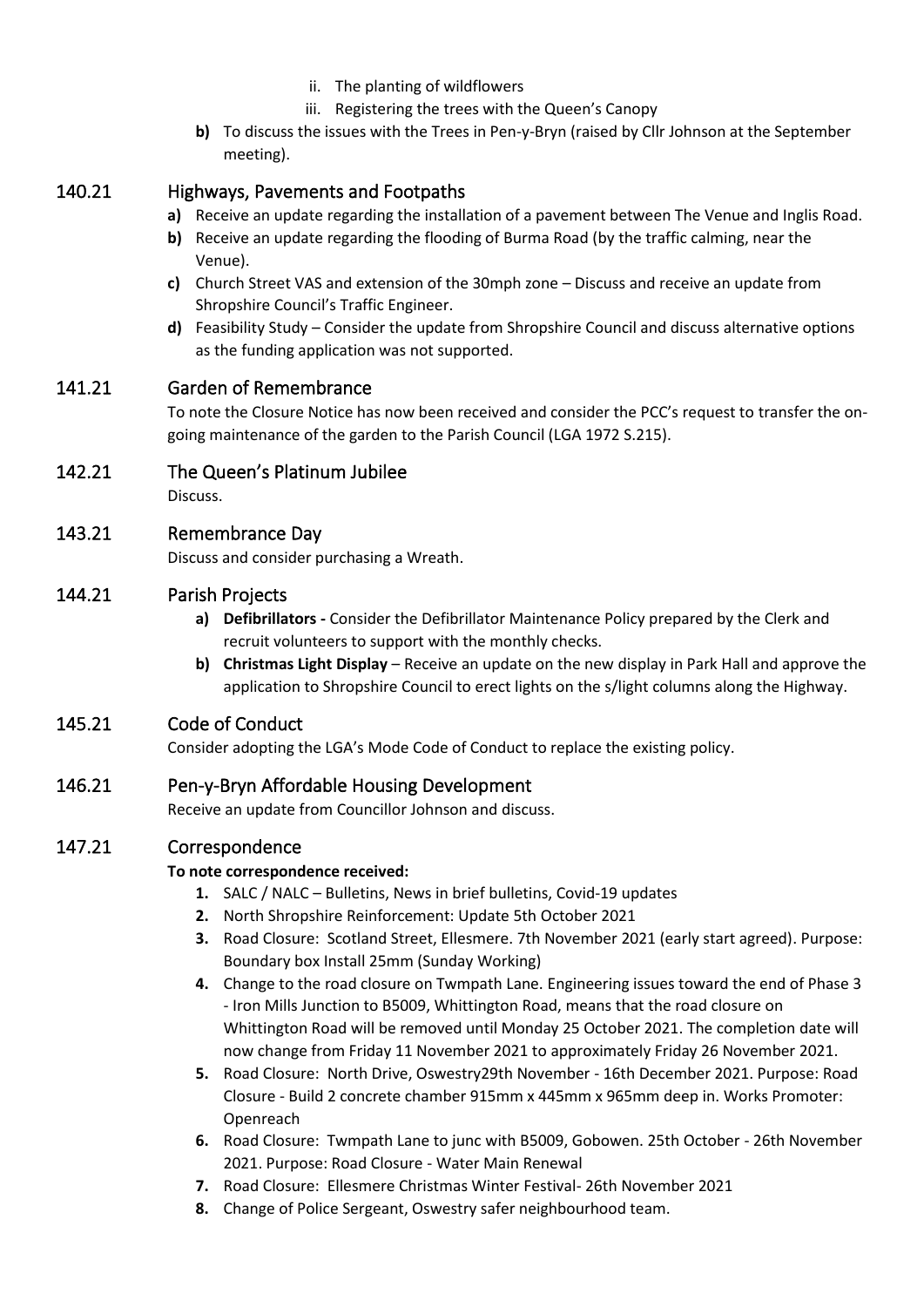- ii. The planting of wildflowers
- iii. Registering the trees with the Queen's Canopy
- **b)** To discuss the issues with the Trees in Pen-y-Bryn (raised by Cllr Johnson at the September meeting).

#### 140.21 Highways, Pavements and Footpaths

- **a)** Receive an update regarding the installation of a pavement between The Venue and Inglis Road.
- **b)** Receive an update regarding the flooding of Burma Road (by the traffic calming, near the Venue).
- **c)** Church Street VAS and extension of the 30mph zone Discuss and receive an update from Shropshire Council's Traffic Engineer.
- **d)** Feasibility Study Consider the update from Shropshire Council and discuss alternative options as the funding application was not supported.

#### 141.21 Garden of Remembrance

To note the Closure Notice has now been received and consider the PCC's request to transfer the ongoing maintenance of the garden to the Parish Council (LGA 1972 S.215).

#### 142.21 The Queen's Platinum Jubilee

Discuss.

#### 143.21 Remembrance Day

Discuss and consider purchasing a Wreath.

#### 144.21 Parish Projects

- **a) Defibrillators -** Consider the Defibrillator Maintenance Policy prepared by the Clerk and recruit volunteers to support with the monthly checks.
- **b) Christmas Light Display**  Receive an update on the new display in Park Hall and approve the application to Shropshire Council to erect lights on the s/light columns along the Highway.

#### 145.21 Code of Conduct

Consider adopting the LGA's Mode Code of Conduct to replace the existing policy.

#### 146.21 Pen-y-Bryn Affordable Housing Development

Receive an update from Councillor Johnson and discuss.

#### 147.21 Correspondence

#### **To note correspondence received:**

- **1.** SALC / NALC Bulletins, News in brief bulletins, Covid-19 updates
- **2.** North Shropshire Reinforcement: Update 5th October 2021
- **3.** Road Closure: Scotland Street, Ellesmere. 7th November 2021 (early start agreed). Purpose: Boundary box Install 25mm (Sunday Working)
- **4.** Change to the road closure on Twmpath Lane. Engineering issues toward the end of Phase 3 - Iron Mills Junction to B5009, Whittington Road, means that the road closure on Whittington Road will be removed until Monday 25 October 2021. The completion date will now change from Friday 11 November 2021 to approximately Friday 26 November 2021.
- **5.** Road Closure: North Drive, Oswestry29th November 16th December 2021. Purpose: Road Closure - Build 2 concrete chamber 915mm x 445mm x 965mm deep in. Works Promoter: Openreach
- **6.** Road Closure: Twmpath Lane to junc with B5009, Gobowen. 25th October 26th November 2021. Purpose: Road Closure - Water Main Renewal
- **7.** Road Closure: Ellesmere Christmas Winter Festival- 26th November 2021
- **8.** Change of Police Sergeant, Oswestry safer neighbourhood team.